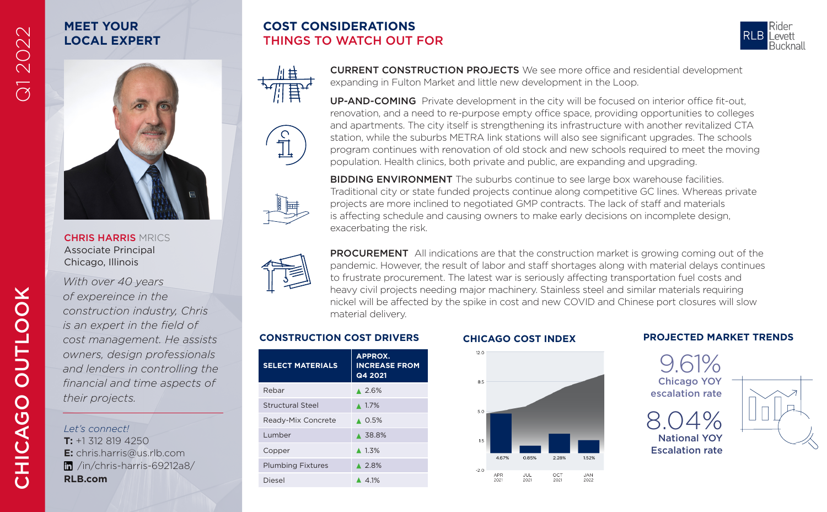# **MEET YOUR LOCAL EXPERT**

## **COST CONSIDERATIONS** THINGS TO WATCH OUT FOR







**BIDDING ENVIRONMENT** The suburbs continue to see large box warehouse facilities. Traditional city or state funded projects continue along competitive GC lines. Whereas private projects are more inclined to negotiated GMP contracts. The lack of staff and materials is affecting schedule and causing owners to make early decisions on incomplete design, exacerbating the risk.

CURRENT CONSTRUCTION PROJECTS We see more office and residential development

UP-AND-COMING Private development in the city will be focused on interior office fit-out, renovation, and a need to re-purpose empty office space, providing opportunities to colleges and apartments. The city itself is strengthening its infrastructure with another revitalized CTA station, while the suburbs METRA link stations will also see significant upgrades. The schools program continues with renovation of old stock and new schools required to meet the moving

population. Health clinics, both private and public, are expanding and upgrading.

expanding in Fulton Market and little new development in the Loop.



PROCUREMENT All indications are that the construction market is growing coming out of the pandemic. However, the result of labor and staff shortages along with material delays continues to frustrate procurement. The latest war is seriously affecting transportation fuel costs and heavy civil projects needing major machinery. Stainless steel and similar materials requiring nickel will be affected by the spike in cost and new COVID and Chinese port closures will slow material delivery.

| <b>SELECT MATERIALS</b>  | <b>APPROX.</b><br><b>INCREASE FROM</b><br>Q4 2021 |
|--------------------------|---------------------------------------------------|
| Rebar                    | 4.2.6%                                            |
| Structural Steel         | $\triangle$ 1.7%                                  |
| Ready-Mix Concrete       | $\triangle$ 0.5%                                  |
| Lumber                   | ▲ 38.8%                                           |
| Copper                   | $\triangle$ 1.3%                                  |
| <b>Plumbing Fixtures</b> | $\triangle$ 2.8%                                  |
| Diesel                   | 4.1%                                              |



### **CONSTRUCTION COST DRIVERS CHICAGO COST INDEX PROJECTED MARKET TRENDS**



Q1 2022

CHRIS HARRIS MRICS Associate Principal Chicago, Illinois

*With over 40 years of expereince in the construction industry, Chris is an expert in the field of cost management. He assists owners, design professionals and lenders in controlling the financial and time aspects of their projects.*

*Let's connect!* **T:** +1 312 819 4250 **E:** chris.harris@us.rlb.com /in/chris-harris-69212a8/ **RLB.com**